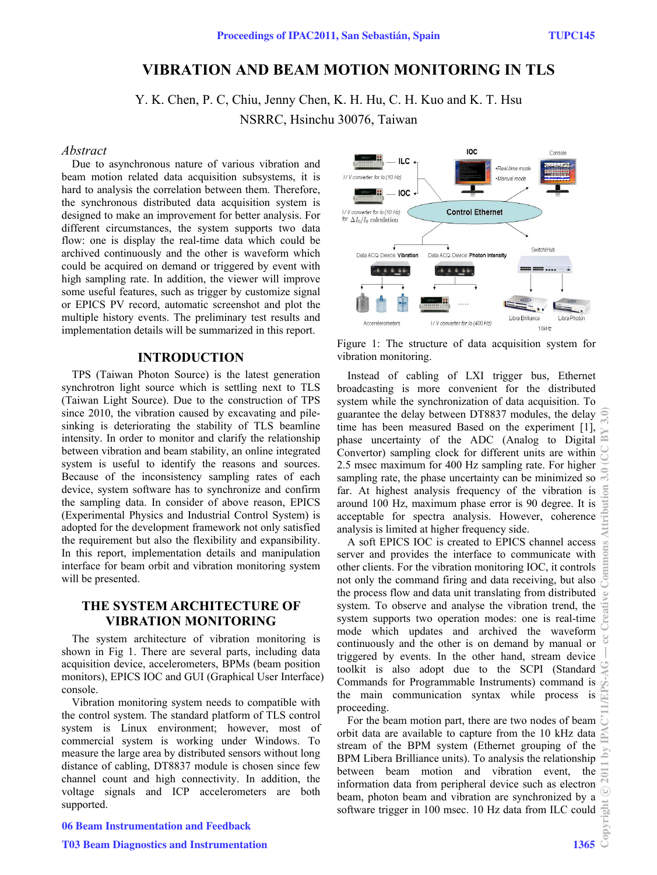# **VIBRATION AND BEAM MOTION MONITORING IN TLS**

Y. K. Chen, P. C, Chiu, Jenny Chen, K. H. Hu, C. H. Kuo and K. T. Hsu

NSRRC, Hsinchu 30076, Taiwan

### *Abstract*

Due to asynchronous nature of various vibration and beam motion related data acquisition subsystems, it is hard to analysis the correlation between them. Therefore, the synchronous distributed data acquisition system is designed to make an improvement for better analysis. For different circumstances, the system supports two data flow: one is display the real-time data which could be archived continuously and the other is waveform which could be acquired on demand or triggered by event with high sampling rate. In addition, the viewer will improve some useful features, such as trigger by customize signal or EPICS PV record, automatic screenshot and plot the multiple history events. The preliminary test results and implementation details will be summarized in this report.

### **INTRODUCTION**

TPS (Taiwan Photon Source) is the latest generation synchrotron light source which is settling next to TLS (Taiwan Light Source). Due to the construction of TPS since 2010, the vibration caused by excavating and pilesinking is deteriorating the stability of TLS beamline intensity. In order to monitor and clarify the relationship between vibration and beam stability, an online integrated system is useful to identify the reasons and sources. Because of the inconsistency sampling rates of each device, system software has to synchronize and confirm the sampling data. In consider of above reason, EPICS (Experimental Physics and Industrial Control System) is adopted for the development framework not only satisfied the requirement but also the flexibility and expansibility. In this report, implementation details and manipulation interface for beam orbit and vibration monitoring system will be presented.

# **THE SYSTEM ARCHITECTURE OF VIBRATION MONITORING**

The system architecture of vibration monitoring is shown in Fig 1. There are several parts, including data acquisition device, accelerometers, BPMs (beam position monitors), EPICS IOC and GUI (Graphical User Interface) console.

Vibration monitoring system needs to compatible with the control system. The standard platform of TLS control system is Linux environment; however, most of commercial system is working under Windows. To measure the large area by distributed sensors without long distance of cabling, DT8837 module is chosen since few channel count and high connectivity. In addition, the voltage signals and ICP accelerometers are both supported.



Figure 1: The structure of data acquisition system for vibration monitoring.

Instead of cabling of LXI trigger bus, Ethernet broadcasting is more convenient for the distributed system while the synchronization of data acquisition. To guarantee the delay between DT8837 modules, the delay time has been measured Based on the experiment [1], phase uncertainty of the ADC (Analog to Digital Convertor) sampling clock for different units are within 2.5 msec maximum for 400 Hz sampling rate. For higher sampling rate, the phase uncertainty can be minimized so far. At highest analysis frequency of the vibration is around 100 Hz, maximum phase error is 90 degree. It is acceptable for spectra analysis. However, coherence analysis is limited at higher frequency side.

A soft EPICS IOC is created to EPICS channel access server and provides the interface to communicate with other clients. For the vibration monitoring IOC, it controls not only the command firing and data receiving, but also the process flow and data unit translating from distributed system. To observe and analyse the vibration trend, the system supports two operation modes: one is real-time mode which updates and archived the waveform continuously and the other is on demand by manual or triggered by events. In the other hand, stream device toolkit is also adopt due to the SCPI (Standard Commands for Programmable Instruments) command is the main communication syntax while process is proceeding.

For the beam motion part, there are two nodes of beam orbit data are available to capture from the 10 kHz data stream of the BPM system (Ethernet grouping of the BPM Libera Brilliance units). To analysis the relationship between beam motion and vibration event, the information data from peripheral device such as electron beam, photon beam and vibration are synchronized by a software trigger in 100 msec. 10 Hz data from ILC could  $\frac{55}{2}$ <br> $\frac{1365}{2}$ 

06 Beam Instrumentation and Feedback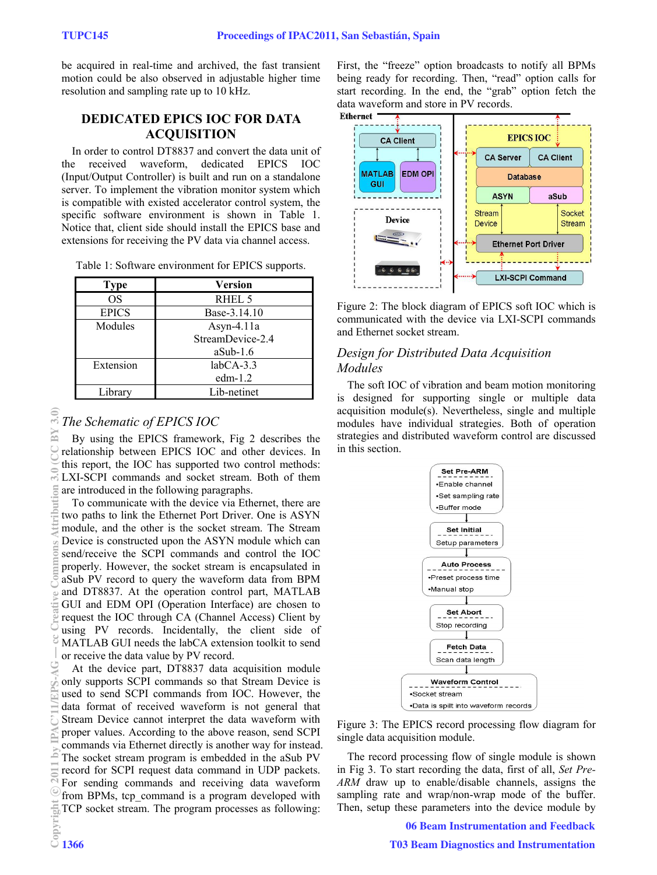be acquired in real-time and archived, the fast transient motion could be also observed in adjustable higher time resolution and sampling rate up to 10 kHz.

# **DEDICATED EPICS IOC FOR DATA ACQUISITION**

In order to control DT8837 and convert the data unit of<br>the received waveform, dedicated EPICS IOC the received waveform, dedicated EPICS IOC (Input/Output Controller) is built and run on a standalone server. To implement the vibration monitor system which is compatible with existed accelerator control system, the specific software environment is shown in Table 1. Notice that, client side should install the EPICS base and extensions for receiving the PV data via channel access.

| Table 1: Software environment for EPICS supports. |  |  |  |
|---------------------------------------------------|--|--|--|
|---------------------------------------------------|--|--|--|

| <b>Type</b>  | Version          |
|--------------|------------------|
| <b>OS</b>    | RHEL 5           |
| <b>EPICS</b> | Base-3.14.10     |
| Modules      | Asyn-4.11 $a$    |
|              | StreamDevice-2.4 |
|              | $aSub-1.6$       |
| Extension    | $labCA-3.3$      |
|              | edm $-1.2$       |
| Library      | Lib-netinet      |

# $\frac{20}{20}$   $\frac{20}{20}$  and  $\frac{20}{20}$  and  $\frac{20}{20}$  and  $\frac{20}{20}$  and  $\frac{20}{20}$  and  $\frac{20}{20}$  and  $\frac{20}{20}$  and  $\frac{20}{20}$  and  $\frac{20}{20}$  and  $\frac{20}{20}$  and  $\frac{20}{20}$  and  $\frac{20}{20}$  and  $\frac{20}{20}$  and BY E c○

# *The Schematic of EPICS IOC*

By using the EPICS framework, Fig 2 describes the relationship between EPICS IOC and other devices. In this report, the IOC has supported two control methods: LXI-SCPI commands and socket stream. Both of them are introduced in the following paragraphs.

To communicate with the device via Ethernet, there are two paths to link the Ethernet Port Driver. One is ASYN module, and the other is the socket stream. The Stream Device is constructed upon the ASYN module which can send/receive the SCPI commands and control the IOC properly. However, the socket stream is encapsulated in aSub PV record to query the waveform data from BPM and DT8837. At the operation control part, MATLAB GUI and EDM OPI (Operation Interface) are chosen to request the IOC through CA (Channel Access) Client by using PV records. Incidentally, the client side of MATLAB GUI needs the labCA extension toolkit to send or receive the data value by PV record.

At the device part, DT8837 data acquisition module only supports SCPI commands so that Stream Device is used to send SCPI commands from IOC. However, the data format of received waveform is not general that Stream Device cannot interpret the data waveform with proper values. According to the above reason, send SCPI commands via Ethernet directly is another way for instead. The socket stream program is embedded in the aSub PV record for SCPI request data command in UDP packets. For sending commands and receiving data waveform from BPMs, tcp\_command is a program developed with TCP socket stream. The program processes as following:

First, the "freeze" option broadcasts to notify all BPMs being ready for recording. Then, "read" option calls for start recording. In the end, the "grab" option fetch the data waveform and store in PV records.<br>Ethernet



Figure 2: The block diagram of EPICS soft IOC which is communicated with the device via LXI-SCPI commands and Ethernet socket stream.

# *Design for Distributed Data Acquisition Modules*

The soft IOC of vibration and beam motion monitoring is designed for supporting single or multiple data acquisition module(s). Nevertheless, single and multiple modules have individual strategies. Both of operation strategies and distributed waveform control are discussed in this section.



Figure 3: The EPICS record processing flow diagram for single data acquisition module.

The record processing flow of single module is shown in Fig 3. To start recording the data, first of all, *Set Pre-ARM* draw up to enable/disable channels, assigns the sampling rate and wrap/non-wrap mode of the buffer. Then, setup these parameters into the device module by

06 Beam Instrumentation and Feedback